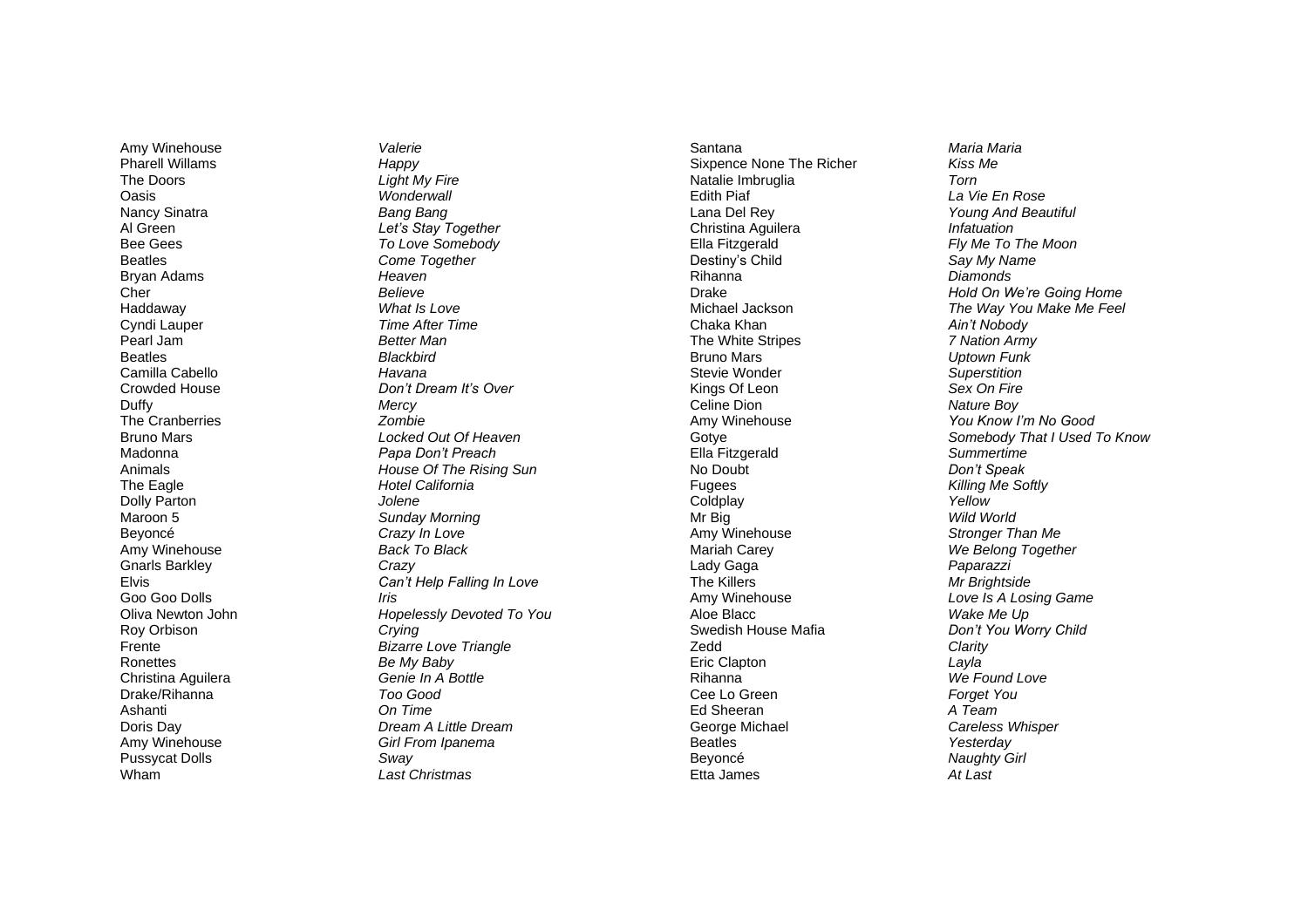Amy Winehouse *Valerie* Pharell Willams *Happy* The Doors *Light My Fire* Oasis *Wonderwall* Nancy Sinatra **Bang Bang**<br>Al Green *Bang Bang*<br>*Ref's Stav T* Bee Gees *To Love Somebody* Beatles *Come Together* Bryan Adams *Heaven* Cher *Believe* Haddaway *What Is Love* Cyndi Lauper *Time After Time* Pearl Jam *Better Man* Beatles *Blackbird*  Camilla Cabello *Havana* Duffy *Mercy* The Cranberries *Zombie* Madonna *Papa Don't Preach* The Eagle *Hotel California*  Dolly Parton *Jolene* Maroon 5 *Sunday Morning* Beyoncé *Crazy In Love* Amy Winehouse *Back To Black* Gnarls Barkley *Crazy* Goo Goo Dolls *Iris* Roy Orbison *Crying* Ronettes *Be My Baby* Christina Aguilera *Genie In A Bottle* Drake/Rihanna *Too Good* Ashanti *On Time* Amy Winehouse *Girl From Ipanema*  Pussycat Dolls *Sway* Wham *Last Christmas*

Let's Stay Together Crowded House *Don't Dream It's Over* **Locked Out Of Heaven** Animals *House Of The Rising Sun* Elvis *Can't Help Falling In Love* Oliva Newton John *Hopelessly Devoted To You* Frente *Bizarre Love Triangle* Doris Day *Dream A Little Dream*

Santana *Maria Maria* Sixpence None The Richer *Kiss Me* Natalie Imbruglia *Torn* Edith Piaf *La Vie En Rose* Lana Del Rey *Young And Beautiful* Christina Aguilera *Infatuation* Ella Fitzgerald *Fly Me To The Moon* Destiny's Child *Say My Name* Rihanna *Diamonds* Chaka Khan *Ain't Nobody* The White Stripes *7 Nation Army* Bruno Mars *Uptown Funk* **Stevie Wonder** Kings Of Leon *Sex On Fire* Celine Dion *Nature Boy* Amy Winehouse *You Know I'm No Good* Ella Fitzgerald *Summertime* No Doubt *Don't Speak* Fugees *Killing Me Softly* Coldplay *Yellow* Mr Big *Wild World* Amy Winehouse *Stronger Than Me* Mariah Carey *We Belong Together* Lady Gaga *Paparazzi* The Killers *Mr Brightside* Amy Winehouse *Love Is A Losing Game* Aloe Blacc *Wake Me Up* Swedish House Mafia *Don't You Worry Child* Zedd *Clarity* Eric Clapton *Layla* Rihanna *We Found Love* Cee Lo Green *Forget You* Ed Sheeran *A Team* George Michael *Careless Whisper* Beatles *Yesterday* Beyoncé *Naughty Girl* Etta James *At Last*

Drake *Hold On We're Going Home* The Way You Make Me Feel Gotye *Somebody That I Used To Know*